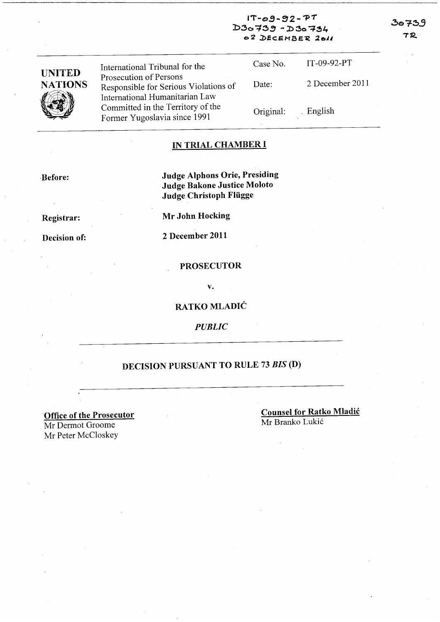$1T - 09 - 92 - PT$  $D3o739 - D3o734$ 02 DECEMBER 2011

| <b>UNITED</b>  | International Tribunal for the                                                                    | Case No.  | $IT-09-92-PT$   |
|----------------|---------------------------------------------------------------------------------------------------|-----------|-----------------|
| <b>NATIONS</b> | Prosecution of Persons<br>Responsible for Serious Violations of<br>International Humanitarian Law | Date:     | 2 December 2011 |
|                | Committed in the Territory of the<br>Former Yugoslavia since 1991                                 | Original: | . English       |

#### IN TRIAL CHAMBER I

,Before:

Judge Alphons Orie, Presiding Judge Bakone Justice Moloto Judge Christoph Fliigge

Registrar:

Mr John Hocking

Decision of:

2 December 2011

#### PROSECUTOR

v.

RATKO MLADIĆ

*PUBLIC* 

# DECISION PURSUANT TO RULE 73 *BIS* (D)

'Office of the Prosecutor Mr Dermot Groome Mr Peter McCloskey

Counsel for Ratko Mladic Mr Branko Lukić

30739

**7R**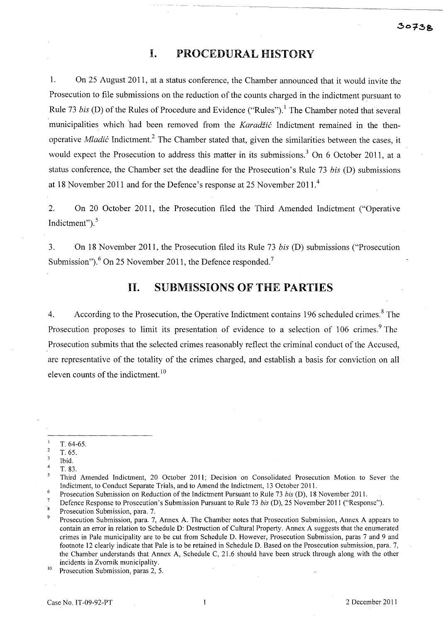## **I. PROCEDURAL HISTORY**

1. On 25 August 2011, at a status conference, the Chamber announced that it would invite the Prosecution to file submissions on the reduction of the counts charged in the indictment pursuant to Rule 73 *bis* (D) of the Rules of Procedure and Evidence ("Rules").<sup>1</sup> The Chamber noted that several municipalities which had been removed from the *Karadžić* Indictment remained in the thenoperative *Mladic* Indictment? The Chamber stated that, given the similarities between the cases, it would expect the Prosecution to address this matter in its submissions.<sup>3</sup> On 6 October 2011, at a status conference, the Chamber set the deadline for the Prosecution's Rule 73 *bis* (D) submissions at 18 November 2011 and for the Defence's response at 25 November 2011. <sup>4</sup>

2. On 20 October 2011, the Prosecution filed the Third Amended Indictment ("Operative Indictment"). 5

3. On 18 November 2011, the Prosecution filed its Rule 73 *bis* (D) submissions ("Prosecution Submission"). $^{6}$  On 25 November 2011, the Defence responded.<sup>7</sup>

## **11. SUBMISSIONS OF THE PARTIES**

4. According to the Prosecution, the Operative Indictment contains 196 scheduled crimes.<sup>8</sup> The Prosecution proposes to limit its presentation of evidence to a selection of 106 crimes.<sup>9</sup> The Prosecution submits that the selected crimes reasonably reflect the criminal conduct of the Accused, are representative of the totality of the crimes charged, and establish a basis for conviction on all eleven counts of the indictment.<sup>10</sup>

T. 64-65.

 $\overline{c}$ T.65.

 $\overline{\mathbf{3}}$ Ibid.

<sup>4</sup>  T. 83.

<sup>5</sup> Third Amended Indictment, 20 October 2011; Decision on Consolidated Prosecution Motion to Sever the Indictment, to Conduct Separate Trials, and to Amend the Indictment, 13 October 2011.

 $\sqrt{6}$ Prosecution Submission on Reduction of the Indictment Pursuant to Rule 73 *bis* (D), 18 November 2011.

<sup>&</sup>lt;sup>7</sup> Defence Response to Prosecution's Submission Pursuant to Rule 73 *bis* (D), 25 November 2011 ("Response").

Prosecution Submission, para. 7.

<sup>9</sup> Prosecution Submission, para. 7, Annex A. The Chamber notes that Prosecution Submission, Annex A appears to contain an error in relation to Schedule D: Destruction of Cultural Property. Annex A suggests that the enumerated crimes in Pale municipality are to be cut from Schedule D. However, Prosecution Submission, paras 7 and 9 and footnote 12 clearly indicate that Pale is to be retained in Schedule D. Based on the Prosecution submission, para. 7, the Chamber understands that Annex A, Schedule C, 21.6 should have been struck through along with the other incidents in Zvomik municipality.

<sup>&</sup>lt;sup>10</sup> Prosecution Submission, paras 2, 5.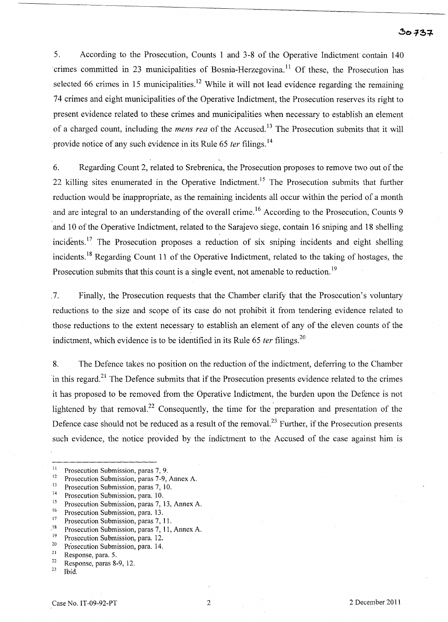#### $30737$

5. According to the Prosecution, Counts 1 and 3-8 of the Operative Indictment contain 140 crimes committed in 23 municipalities of Bosnia-Herzegovina.<sup>11</sup> Of these, the Prosecution has selected 66 crimes in 15 municipalities.<sup>12</sup> While it will not lead evidence regarding the remaining 74 crimes and eight municipalities of the Operative Indictment, the Prosecution reserves its right to present evidence related to these crimes and municipalities when necessary to establish an element of a charged count, including the *mens rea* of the Accused.<sup>13</sup> The Prosecution submits that it will provide notice of any such evidence in its Rule 65 *ter* filings.<sup>14</sup>

6. Regarding Count 2, related to Srebrenica, the Prosecution proposes to remove two out of the 22 killing sites enumerated in the Operative Indictment.<sup>15</sup> The Prosecution submits that further reduction would be inappropriate, as the remaining incidents all occur within the period of a month and are integral to an understanding of the overall crime.<sup>16</sup> According to the Prosecution, Counts 9 and 10 of the Operative Indictment, related to the Sarajevo siege, contain 16 sniping and 18 shelling incidents.<sup>17</sup> The Prosecution proposes a reduction of six sniping incidents and eight shelling incidents. 18 Regarding Count 11 of the Operative Indictment, related to the taking of hostages, the Prosecution submits that this count is a single event, not amenable to reduction.<sup>19</sup>

,7. Finally, the Prosecution requests that the Chamber clarify that the Prosecution's voluntary reductions to the size and scope of its case do not prohibit it from tendering evidence related to those reductions to the extent necessary to establish an element of any of the eleven counts of the indictment, which evidence is to be identified in its Rule 65 *ter* filings.<sup>20</sup>

8. The Defence takes no position on the reduction of the indictment, deferring to the Chamber 'in this regard?1 The Defence submits that if the Prosecution presents evidence related to the crimes it has proposed to be removed from the Operative Indictment, the burden upon the Defence is not lightened by that removal.<sup>22</sup> Consequently, the time for the preparation and presentation of the Defence case should not be reduced as a result of the removal.<sup>23</sup> Further, if the Prosecution presents such evidence, the notice provided by the indictment to the Accused of the case against him is

<sup>&</sup>lt;sup>11</sup> Prosecution Submission, paras 7, 9.<br><sup>12</sup> Prosecution Submission, paras 7.9.

<sup>&</sup>lt;sup>12</sup> Prosecution Submission, paras 7-9, Annex A.<br><sup>13</sup> Prosecution Submission, page  $7^{10}$ 

<sup>&</sup>lt;sup>13</sup> Prosecution Submission, paras 7, 10.

<sup>&</sup>lt;sup>14</sup> Prosecution Submission, para. 10.<br><sup>15</sup> Prosecution Submission, paras.  $7\frac{1}{2}$ 

<sup>&</sup>lt;sup>15</sup> Prosecution Submission, paras 7, 13, Annex A.<br>Prosecution Submission, para 13

<sup>&</sup>lt;sup>16</sup> Prosecution Submission, para. 13.<br><sup>17</sup> Prosecution Submission, paras.  $7<sup>-1</sup>$ 

<sup>&</sup>lt;sup>17</sup> Prosecution Submission, paras  $7, 11$ .<br><sup>18</sup> Prosecution Submission, paras  $7, 11$ .

<sup>&</sup>lt;sup>18</sup> Prosecution Submission, paras 7, 11, Annex A.<br><sup>19</sup> Prosecution Submission, para 12

<sup>&</sup>lt;sup>19</sup> Prosecution Submission, para. 12.<br><sup>20</sup> Prosecution Submission, para. 14.

 $^{20}$  Prosecution Submission, para. 14.

 $\frac{21}{22}$  Response, para. 5.

 $\frac{22}{23}$  Response, paras 8-9, 12.

Ibid.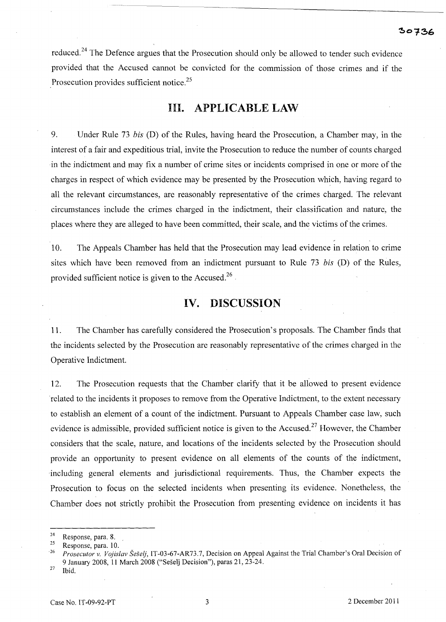reduced.<sup>24</sup> The Defence argues that the Prosecution should only be allowed to tender such evidence provided that the Accused cannot be convicted for the commission of those crimes and if the Prosecution provides sufficient notice.<sup>25</sup>

#### **Ill. APPLICABLE LAW**

9. Under Rule 73 *his* (D) of the Rules, having heard the Prosecution, a Chamber may, in the interest of a fair and expeditious trial, invite the Prosecution to reduce the number of counts charged in the indictment and may fix a number of crime sites or incidents comprised in one or more of the charges in respect of which evidence may be presented by the Prosecution which, having regard to all the relevant circumstances, are reasonably representative of the crimes charged. The relevant circumstances include the crimes charged in the indictment, their classification and nature, the places where they are alleged to have been committed, their scale, and the victims of the crimes.

10. The Appeals Chamber has held that the Prosecution may lead evidence in relation to crime sites which have been removed from an indictment pursuant to Rule 73 *his* (D) of the Rules, provided sufficient notice is given to the Accused.<sup>26</sup>

## **IV. DISCUSSION**

11. The Chamber has carefully considered the Prosecution's proposals. The Chamber finds that the incidents selected by the Prosecution are reasonably representative of the crimes charged in the Operative Indictment.

12. The Prosecution requests that the Chamber clarify that it be allowed to present evidence 'related to the incidents it proposes to remove from the Operative Indictment, to the extent necessary to establish an element of a count of the indictment. Pursuant to Appeals Chamber case law, such evidence is admissible, provided sufficient notice is given to the Accused.<sup>27</sup> However, the Chamber considers that the scale, nature, and locations of the incidents selected by the Prosecution should provide an opportunity to present evidence on all elements of the counts of the indictment, including general elements and jurisdictional requirements. Thus, the Chamber expects the Prosecution to focus on the selected incidents when presenting its evidence. Nonetheless, the Chamber does not strictly prohibit the Prosecution from presenting evidence on incidents it has

 $rac{24}{25}$  Response, para. 8.

 $\frac{25}{26}$  Response, para. 10.

*<sup>26</sup> Prosecutor* v. *Vojislav Seselj,* IT-03-67-AR73.7, Decision on Appeal Against the Trial Chamber's Oral Decision of 9 January 2008, 11 March 2008 ("Seselj Decision"), paras 21, 23-24.

 $27$  Ibid.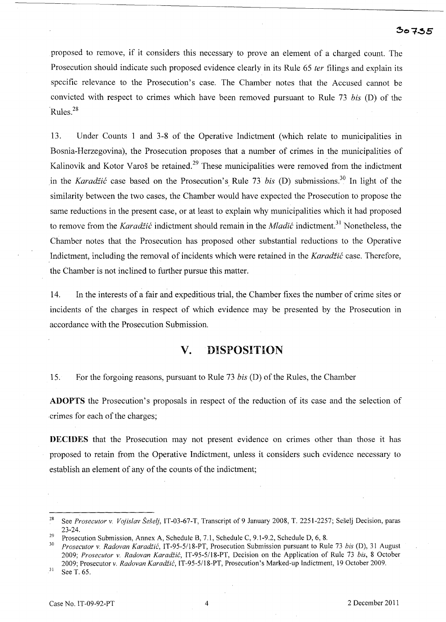proposed to remove, if it considers this necessary to prove an element of a charged count. The Prosecution should indicate such proposed evidence clearly in its Rule 65 *ter* filings and explain its specific relevance to the Prosecution's case. The Chamber notes that the Accused cannot be convicted with respect to crimes which have been removed pursuant to Rule 73 *bis* (D) of the 'Rules.28

13. Under Counts 1 and 3-8 of the Operative Indictment (which relate to municipalities in Bosnia-Herzegovina), the Prosecution proposes that a number of crimes in the municipalities of Kalinovik and Kotor Varoš be retained.<sup>29</sup> These municipalities were removed from the indictment in the *Karadžić* case based on the Prosecution's Rule 73 *bis* (D) submissions.<sup>30</sup> In light of the similarity between the two cases, the Chamber would have expected the Prosecution to propose the same reductions in the present case, or at least to explain why municipalities which it had proposed to remove from the *Karadžić* indictment should remain in the *Mladić* indictment.<sup>31</sup> Nonetheless, the Chamber notes that the Prosecution has proposed other substantial reductions to the Operative Indictment, including the removal of incidents which were retained in the *Karadiic* case. Therefore, the Chamber is not inclined to further pursue this matter.

14. In the interests of a fair and expeditious trial, the Chamber fixes the number of crime sites or incidents of the charges in respect of which evidence may be presented by the Prosecution in accordance with the Prosecution Submission.

#### **v. DISPOSITION**

15. For the forgoing reasons, pursuant to Rule 73 *bis* (D) of the Rules, the Chamber

**ADOPTS** the Prosecution's proposals in respect of the reduction of its case and the selection of crimes for each of the charges;

**DECIDES** that the Prosecution may not present evidence on crimes other than those it has proposed to retain from the Operative Indictment, unless it considers such evidence necessary to establish an element of any of the counts of the indictment;

<sup>28</sup> See *Prosecutor* v, *Vojislav Se§elj,* IT-03-67-T, Transcript of9 January 2008, T. 2251-2257; Seselj Decision, paras 23-24.

<sup>&</sup>lt;sup>29</sup> Prosecution Submission, Annex A, Schedule B, 7.1, Schedule C, 9.1-9.2, Schedule D, 6, 8.

*<sup>30</sup> Prosecutor* v. *Radovan Karadiic,* IT-95-5118-PT, Prosecution Submission pursuant to Rule 73 *his* (D), 31 August *2009; Prosecutor* v. *Radovan Karadiic,* IT-95-5118-PT, Decision on the Application of Rule 73 *his,* 8 October 2009; Prosecutor v, *Radovan Karadiic,* IT-95-5/18-PT, Prosecution's Marked-up Indictment, 19 October 2009.

 $31$  See T. 65.